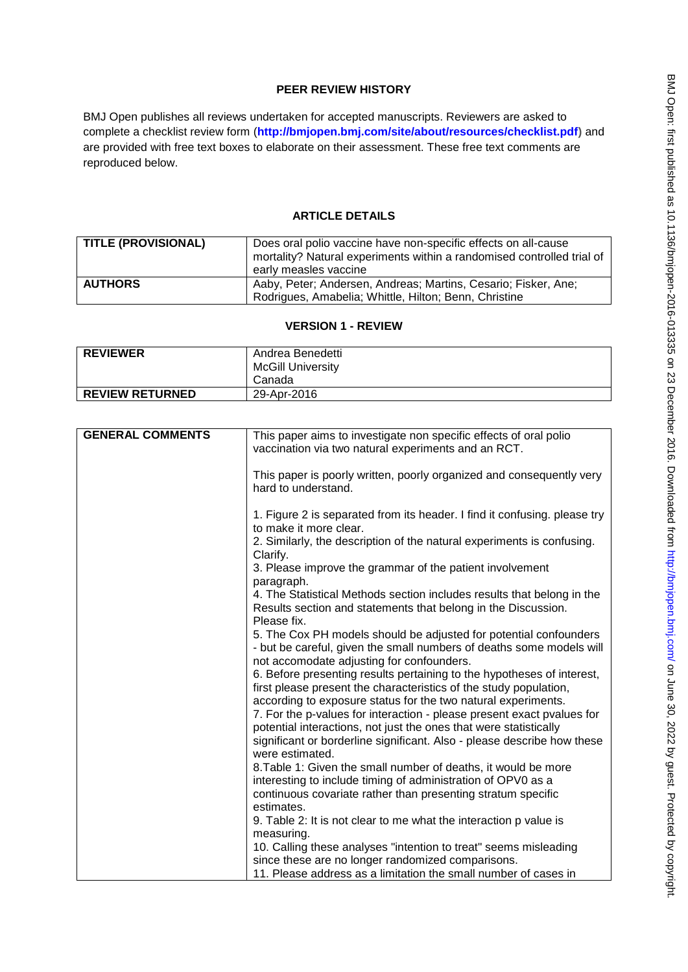# **PEER REVIEW HISTORY**

BMJ Open publishes all reviews undertaken for accepted manuscripts. Reviewers are asked to complete a checklist review form (**[http://bmjopen.bmj.com/site/about/resources/checklist.pdf\)](http://bmjopen.bmj.com/site/about/resources/checklist.pdf)** and are provided with free text boxes to elaborate on their assessment. These free text comments are reproduced below.

# **ARTICLE DETAILS**

| <b>TITLE (PROVISIONAL)</b> | Does oral polio vaccine have non-specific effects on all-cause<br>mortality? Natural experiments within a randomised controlled trial of<br>early measles vaccine |
|----------------------------|-------------------------------------------------------------------------------------------------------------------------------------------------------------------|
| <b>AUTHORS</b>             | Aaby, Peter; Andersen, Andreas; Martins, Cesario; Fisker, Ane;<br>Rodrigues, Amabelia; Whittle, Hilton; Benn, Christine                                           |

#### **VERSION 1 - REVIEW**

| <b>REVIEWER</b>        | Andrea Benedetti         |
|------------------------|--------------------------|
|                        | <b>McGill University</b> |
|                        | Canada                   |
| <b>REVIEW RETURNED</b> | 29-Apr-2016              |

| <b>GENERAL COMMENTS</b> | This paper aims to investigate non specific effects of oral polio<br>vaccination via two natural experiments and an RCT.                                                                                     |
|-------------------------|--------------------------------------------------------------------------------------------------------------------------------------------------------------------------------------------------------------|
|                         | This paper is poorly written, poorly organized and consequently very<br>hard to understand.                                                                                                                  |
|                         | 1. Figure 2 is separated from its header. I find it confusing. please try<br>to make it more clear.                                                                                                          |
|                         | 2. Similarly, the description of the natural experiments is confusing.<br>Clarify.                                                                                                                           |
|                         | 3. Please improve the grammar of the patient involvement<br>paragraph.                                                                                                                                       |
|                         | 4. The Statistical Methods section includes results that belong in the<br>Results section and statements that belong in the Discussion.<br>Please fix.                                                       |
|                         | 5. The Cox PH models should be adjusted for potential confounders<br>- but be careful, given the small numbers of deaths some models will<br>not accomodate adjusting for confounders.                       |
|                         | 6. Before presenting results pertaining to the hypotheses of interest,<br>first please present the characteristics of the study population,                                                                  |
|                         | according to exposure status for the two natural experiments.<br>7. For the p-values for interaction - please present exact pvalues for<br>potential interactions, not just the ones that were statistically |
|                         | significant or borderline significant. Also - please describe how these<br>were estimated.                                                                                                                   |
|                         | 8. Table 1: Given the small number of deaths, it would be more<br>interesting to include timing of administration of OPV0 as a                                                                               |
|                         | continuous covariate rather than presenting stratum specific                                                                                                                                                 |
|                         | estimates.<br>9. Table 2: It is not clear to me what the interaction p value is                                                                                                                              |
|                         | measuring.                                                                                                                                                                                                   |
|                         | 10. Calling these analyses "intention to treat" seems misleading                                                                                                                                             |
|                         | since these are no longer randomized comparisons.                                                                                                                                                            |
|                         | 11. Please address as a limitation the small number of cases in                                                                                                                                              |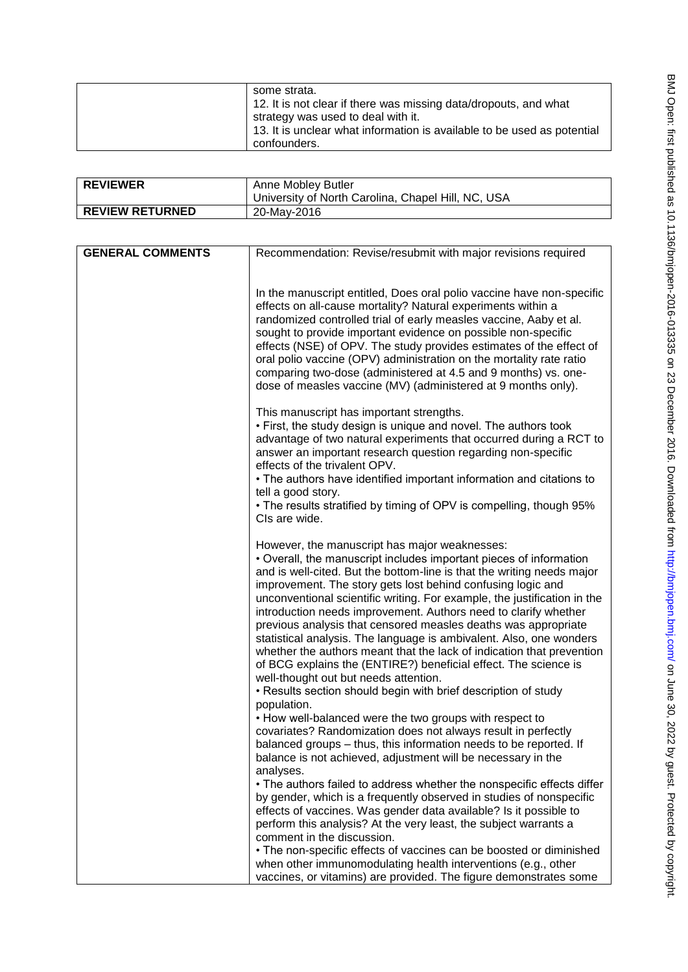| some strata.<br>12. It is not clear if there was missing data/dropouts, and what<br>strategy was used to deal with it.<br>13. It is unclear what information is available to be used as potential<br>confounders. |
|-------------------------------------------------------------------------------------------------------------------------------------------------------------------------------------------------------------------|
|-------------------------------------------------------------------------------------------------------------------------------------------------------------------------------------------------------------------|

| <b>REVIEWER</b>        | Anne Mobley Butler<br>University of North Carolina, Chapel Hill, NC, USA |
|------------------------|--------------------------------------------------------------------------|
| <b>REVIEW RETURNED</b> | 20-May-2016                                                              |

| <b>GENERAL COMMENTS</b> | Recommendation: Revise/resubmit with major revisions required                                                                                                                                                                                                                                                                                                                                                                                                                                                                                                                                                                                                                                                                                                                                                              |
|-------------------------|----------------------------------------------------------------------------------------------------------------------------------------------------------------------------------------------------------------------------------------------------------------------------------------------------------------------------------------------------------------------------------------------------------------------------------------------------------------------------------------------------------------------------------------------------------------------------------------------------------------------------------------------------------------------------------------------------------------------------------------------------------------------------------------------------------------------------|
|                         |                                                                                                                                                                                                                                                                                                                                                                                                                                                                                                                                                                                                                                                                                                                                                                                                                            |
|                         | In the manuscript entitled, Does oral polio vaccine have non-specific<br>effects on all-cause mortality? Natural experiments within a<br>randomized controlled trial of early measles vaccine, Aaby et al.<br>sought to provide important evidence on possible non-specific<br>effects (NSE) of OPV. The study provides estimates of the effect of<br>oral polio vaccine (OPV) administration on the mortality rate ratio<br>comparing two-dose (administered at 4.5 and 9 months) vs. one-<br>dose of measles vaccine (MV) (administered at 9 months only).                                                                                                                                                                                                                                                               |
|                         | This manuscript has important strengths.<br>• First, the study design is unique and novel. The authors took<br>advantage of two natural experiments that occurred during a RCT to<br>answer an important research question regarding non-specific<br>effects of the trivalent OPV.<br>• The authors have identified important information and citations to<br>tell a good story.<br>• The results stratified by timing of OPV is compelling, though 95%<br>CIs are wide.                                                                                                                                                                                                                                                                                                                                                   |
|                         | However, the manuscript has major weaknesses:<br>• Overall, the manuscript includes important pieces of information<br>and is well-cited. But the bottom-line is that the writing needs major<br>improvement. The story gets lost behind confusing logic and<br>unconventional scientific writing. For example, the justification in the<br>introduction needs improvement. Authors need to clarify whether<br>previous analysis that censored measles deaths was appropriate<br>statistical analysis. The language is ambivalent. Also, one wonders<br>whether the authors meant that the lack of indication that prevention<br>of BCG explains the (ENTIRE?) beneficial effect. The science is<br>well-thought out but needs attention.<br>• Results section should begin with brief description of study<br>population. |
|                         | • How well-balanced were the two groups with respect to<br>covariates? Randomization does not always result in perfectly<br>balanced groups - thus, this information needs to be reported. If<br>balance is not achieved, adjustment will be necessary in the                                                                                                                                                                                                                                                                                                                                                                                                                                                                                                                                                              |
|                         | analyses.<br>• The authors failed to address whether the nonspecific effects differ<br>by gender, which is a frequently observed in studies of nonspecific<br>effects of vaccines. Was gender data available? Is it possible to<br>perform this analysis? At the very least, the subject warrants a<br>comment in the discussion.                                                                                                                                                                                                                                                                                                                                                                                                                                                                                          |
|                         | • The non-specific effects of vaccines can be boosted or diminished<br>when other immunomodulating health interventions (e.g., other<br>vaccines, or vitamins) are provided. The figure demonstrates some                                                                                                                                                                                                                                                                                                                                                                                                                                                                                                                                                                                                                  |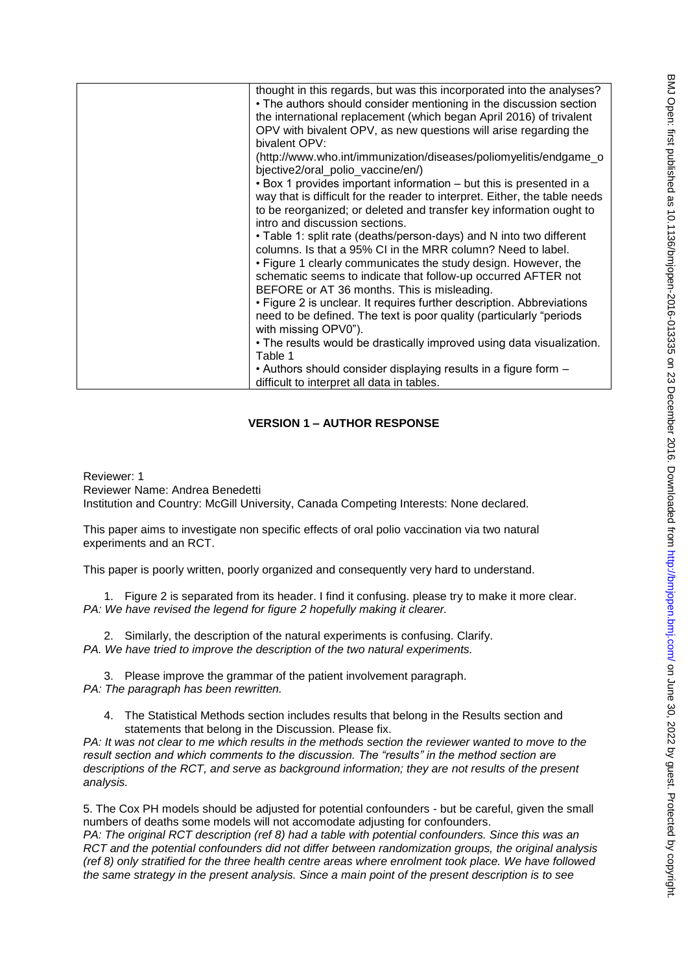| thought in this regards, but was this incorporated into the analyses?<br>• The authors should consider mentioning in the discussion section<br>the international replacement (which began April 2016) of trivalent<br>OPV with bivalent OPV, as new questions will arise regarding the |
|----------------------------------------------------------------------------------------------------------------------------------------------------------------------------------------------------------------------------------------------------------------------------------------|
| bivalent OPV:<br>(http://www.who.int/immunization/diseases/poliomyelitis/endgame_o<br>bjective2/oral polio vaccine/en/)<br>• Box 1 provides important information – but this is presented in a                                                                                         |
| way that is difficult for the reader to interpret. Either, the table needs<br>to be reorganized; or deleted and transfer key information ought to<br>intro and discussion sections.                                                                                                    |
| • Table 1: split rate (deaths/person-days) and N into two different<br>columns. Is that a 95% CI in the MRR column? Need to label.<br>• Figure 1 clearly communicates the study design. However, the                                                                                   |
| schematic seems to indicate that follow-up occurred AFTER not<br>BEFORE or AT 36 months. This is misleading.                                                                                                                                                                           |
| • Figure 2 is unclear. It requires further description. Abbreviations<br>need to be defined. The text is poor quality (particularly "periods<br>with missing OPV0").                                                                                                                   |
| . The results would be drastically improved using data visualization.<br>Table 1                                                                                                                                                                                                       |
| • Authors should consider displaying results in a figure form -<br>difficult to interpret all data in tables.                                                                                                                                                                          |

## **VERSION 1 – AUTHOR RESPONSE**

Reviewer: 1 Reviewer Name: Andrea Benedetti Institution and Country: McGill University, Canada Competing Interests: None declared.

This paper aims to investigate non specific effects of oral polio vaccination via two natural experiments and an RCT.

This paper is poorly written, poorly organized and consequently very hard to understand.

1. Figure 2 is separated from its header. I find it confusing. please try to make it more clear. *PA: We have revised the legend for figure 2 hopefully making it clearer.* 

2. Similarly, the description of the natural experiments is confusing. Clarify. *PA. We have tried to improve the description of the two natural experiments.* 

3. Please improve the grammar of the patient involvement paragraph. *PA: The paragraph has been rewritten.* 

4. The Statistical Methods section includes results that belong in the Results section and statements that belong in the Discussion. Please fix.

*PA: It was not clear to me which results in the methods section the reviewer wanted to move to the result section and which comments to the discussion. The "results" in the method section are descriptions of the RCT, and serve as background information; they are not results of the present analysis.* 

5. The Cox PH models should be adjusted for potential confounders - but be careful, given the small numbers of deaths some models will not accomodate adjusting for confounders.

*PA: The original RCT description (ref 8) had a table with potential confounders. Since this was an RCT and the potential confounders did not differ between randomization groups, the original analysis (ref 8) only stratified for the three health centre areas where enrolment took place. We have followed the same strategy in the present analysis. Since a main point of the present description is to see*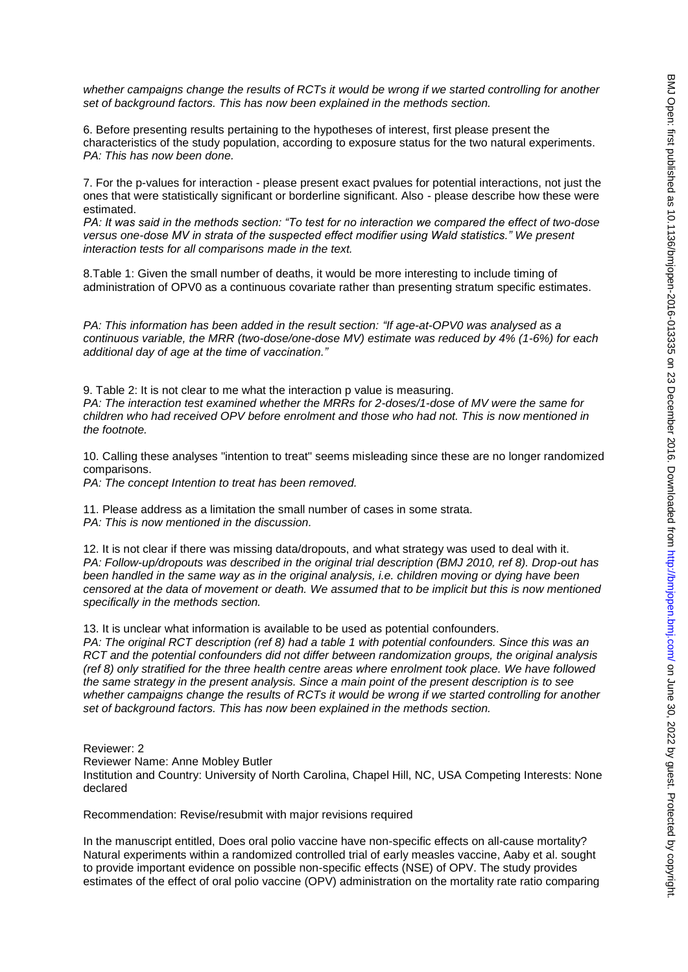*whether campaigns change the results of RCTs it would be wrong if we started controlling for another set of background factors. This has now been explained in the methods section.* 

6. Before presenting results pertaining to the hypotheses of interest, first please present the characteristics of the study population, according to exposure status for the two natural experiments. *PA: This has now been done.* 

7. For the p-values for interaction - please present exact pvalues for potential interactions, not just the ones that were statistically significant or borderline significant. Also - please describe how these were estimated.

*PA: It was said in the methods section: "To test for no interaction we compared the effect of two-dose versus one-dose MV in strata of the suspected effect modifier using Wald statistics." We present interaction tests for all comparisons made in the text.* 

8.Table 1: Given the small number of deaths, it would be more interesting to include timing of administration of OPV0 as a continuous covariate rather than presenting stratum specific estimates.

*PA: This information has been added in the result section: "If age-at-OPV0 was analysed as a continuous variable, the MRR (two-dose/one-dose MV) estimate was reduced by 4% (1-6%) for each additional day of age at the time of vaccination."* 

9. Table 2: It is not clear to me what the interaction p value is measuring. *PA: The interaction test examined whether the MRRs for 2-doses/1-dose of MV were the same for children who had received OPV before enrolment and those who had not. This is now mentioned in the footnote.* 

10. Calling these analyses "intention to treat" seems misleading since these are no longer randomized comparisons.

*PA: The concept Intention to treat has been removed.* 

11. Please address as a limitation the small number of cases in some strata. *PA: This is now mentioned in the discussion.* 

12. It is not clear if there was missing data/dropouts, and what strategy was used to deal with it. *PA: Follow-up/dropouts was described in the original trial description (BMJ 2010, ref 8). Drop-out has been handled in the same way as in the original analysis, i.e. children moving or dying have been censored at the data of movement or death. We assumed that to be implicit but this is now mentioned specifically in the methods section.* 

13. It is unclear what information is available to be used as potential confounders.

*PA: The original RCT description (ref 8) had a table 1 with potential confounders. Since this was an RCT and the potential confounders did not differ between randomization groups, the original analysis (ref 8) only stratified for the three health centre areas where enrolment took place. We have followed the same strategy in the present analysis. Since a main point of the present description is to see whether campaigns change the results of RCTs it would be wrong if we started controlling for another set of background factors. This has now been explained in the methods section.* 

Reviewer: 2

Reviewer Name: Anne Mobley Butler

Institution and Country: University of North Carolina, Chapel Hill, NC, USA Competing Interests: None declared

Recommendation: Revise/resubmit with major revisions required

In the manuscript entitled, Does oral polio vaccine have non-specific effects on all-cause mortality? Natural experiments within a randomized controlled trial of early measles vaccine, Aaby et al. sought to provide important evidence on possible non-specific effects (NSE) of OPV. The study provides estimates of the effect of oral polio vaccine (OPV) administration on the mortality rate ratio comparing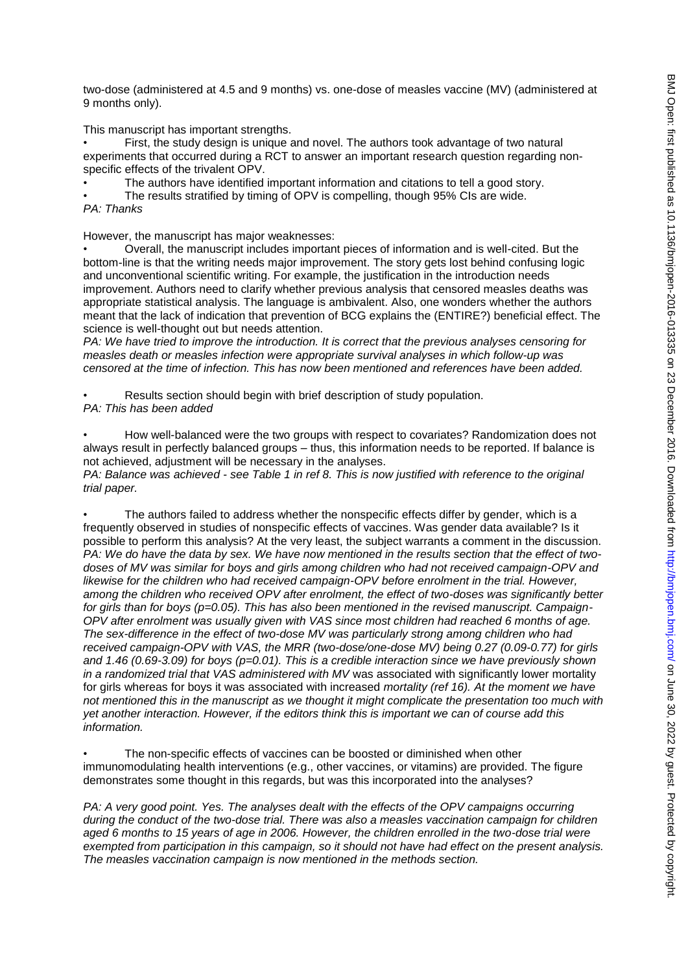two-dose (administered at 4.5 and 9 months) vs. one-dose of measles vaccine (MV) (administered at 9 months only).

This manuscript has important strengths.

• First, the study design is unique and novel. The authors took advantage of two natural experiments that occurred during a RCT to answer an important research question regarding nonspecific effects of the trivalent OPV.

- The authors have identified important information and citations to tell a good story.
- The results stratified by timing of OPV is compelling, though 95% CIs are wide. *PA: Thanks*

However, the manuscript has major weaknesses:

• Overall, the manuscript includes important pieces of information and is well-cited. But the bottom-line is that the writing needs major improvement. The story gets lost behind confusing logic and unconventional scientific writing. For example, the justification in the introduction needs improvement. Authors need to clarify whether previous analysis that censored measles deaths was appropriate statistical analysis. The language is ambivalent. Also, one wonders whether the authors meant that the lack of indication that prevention of BCG explains the (ENTIRE?) beneficial effect. The science is well-thought out but needs attention.

*PA: We have tried to improve the introduction. It is correct that the previous analyses censoring for measles death or measles infection were appropriate survival analyses in which follow-up was censored at the time of infection. This has now been mentioned and references have been added.* 

Results section should begin with brief description of study population. *PA: This has been added* 

• How well-balanced were the two groups with respect to covariates? Randomization does not always result in perfectly balanced groups – thus, this information needs to be reported. If balance is not achieved, adjustment will be necessary in the analyses.

*PA: Balance was achieved - see Table 1 in ref 8. This is now justified with reference to the original trial paper.* 

• The authors failed to address whether the nonspecific effects differ by gender, which is a frequently observed in studies of nonspecific effects of vaccines. Was gender data available? Is it possible to perform this analysis? At the very least, the subject warrants a comment in the discussion. *PA: We do have the data by sex. We have now mentioned in the results section that the effect of twodoses of MV was similar for boys and girls among children who had not received campaign-OPV and likewise for the children who had received campaign-OPV before enrolment in the trial. However, among the children who received OPV after enrolment, the effect of two-doses was significantly better for girls than for boys (p=0.05). This has also been mentioned in the revised manuscript. Campaign-OPV after enrolment was usually given with VAS since most children had reached 6 months of age. The sex-difference in the effect of two-dose MV was particularly strong among children who had received campaign-OPV with VAS, the MRR (two-dose/one-dose MV) being 0.27 (0.09-0.77) for girls and 1.46 (0.69-3.09) for boys (p=0.01). This is a credible interaction since we have previously shown in a randomized trial that VAS administered with MV* was associated with significantly lower mortality for girls whereas for boys it was associated with increased *mortality (ref 16). At the moment we have not mentioned this in the manuscript as we thought it might complicate the presentation too much with yet another interaction. However, if the editors think this is important we can of course add this information.* 

The non-specific effects of vaccines can be boosted or diminished when other immunomodulating health interventions (e.g., other vaccines, or vitamins) are provided. The figure demonstrates some thought in this regards, but was this incorporated into the analyses?

*PA: A very good point. Yes. The analyses dealt with the effects of the OPV campaigns occurring during the conduct of the two-dose trial. There was also a measles vaccination campaign for children aged 6 months to 15 years of age in 2006. However, the children enrolled in the two-dose trial were exempted from participation in this campaign, so it should not have had effect on the present analysis. The measles vaccination campaign is now mentioned in the methods section.*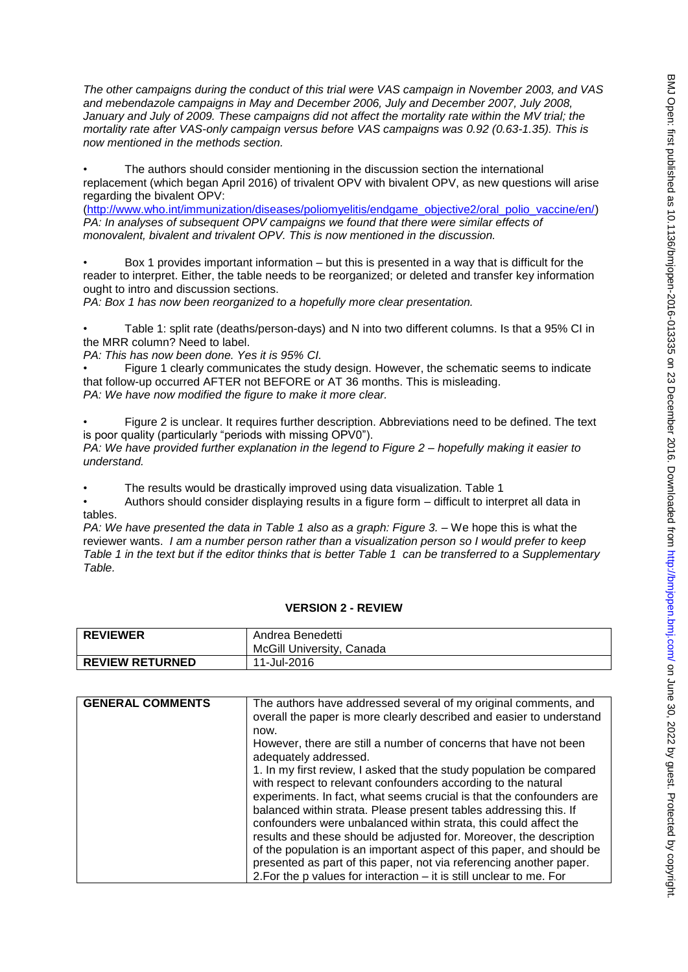*The other campaigns during the conduct of this trial were VAS campaign in November 2003, and VAS and mebendazole campaigns in May and December 2006, July and December 2007, July 2008,*  January and July of 2009. These campaigns did not affect the mortality rate within the MV trial; the *mortality rate after VAS-only campaign versus before VAS campaigns was 0.92 (0.63-1.35). This is now mentioned in the methods section.*

The authors should consider mentioning in the discussion section the international replacement (which began April 2016) of trivalent OPV with bivalent OPV, as new questions will arise regarding the bivalent OPV:

[\(http://www.who.int/immunization/diseases/poliomyelitis/endgame\\_objective2/oral\\_polio\\_vaccine/en/\)](http://www.who.int/immunization/diseases/poliomyelitis/endgame_objective2/oral_polio_vaccine/en/) *PA: In analyses of subsequent OPV campaigns we found that there were similar effects of monovalent, bivalent and trivalent OPV. This is now mentioned in the discussion.* 

• Box 1 provides important information – but this is presented in a way that is difficult for the reader to interpret. Either, the table needs to be reorganized; or deleted and transfer key information ought to intro and discussion sections.

*PA: Box 1 has now been reorganized to a hopefully more clear presentation.* 

• Table 1: split rate (deaths/person-days) and N into two different columns. Is that a 95% CI in the MRR column? Need to label.

*PA: This has now been done. Yes it is 95% CI.* 

• Figure 1 clearly communicates the study design. However, the schematic seems to indicate that follow-up occurred AFTER not BEFORE or AT 36 months. This is misleading. *PA: We have now modified the figure to make it more clear.* 

• Figure 2 is unclear. It requires further description. Abbreviations need to be defined. The text is poor quality (particularly "periods with missing OPV0").

*PA: We have provided further explanation in the legend to Figure 2 – hopefully making it easier to understand.* 

• The results would be drastically improved using data visualization. Table 1

• Authors should consider displaying results in a figure form – difficult to interpret all data in tables.

*PA: We have presented the data in Table 1 also as a graph: Figure 3. –* We hope this is what the reviewer wants. *I am a number person rather than a visualization person so I would prefer to keep Table 1 in the text but if the editor thinks that is better Table 1 can be transferred to a Supplementary Table.*

#### **VERSION 2 - REVIEW**

| <b>REVIEWER</b>        | Andrea Benedetti<br>McGill University, Canada |
|------------------------|-----------------------------------------------|
| <b>REVIEW RETURNED</b> | 11-Jul-2016                                   |

| <b>GENERAL COMMENTS</b> | The authors have addressed several of my original comments, and<br>overall the paper is more clearly described and easier to understand |
|-------------------------|-----------------------------------------------------------------------------------------------------------------------------------------|
|                         | now.                                                                                                                                    |
|                         | However, there are still a number of concerns that have not been<br>adequately addressed.                                               |
|                         | 1. In my first review, I asked that the study population be compared<br>with respect to relevant confounders according to the natural   |
|                         | experiments. In fact, what seems crucial is that the confounders are                                                                    |
|                         | balanced within strata. Please present tables addressing this. If<br>confounders were unbalanced within strata, this could affect the   |
|                         | results and these should be adjusted for. Moreover, the description                                                                     |
|                         | of the population is an important aspect of this paper, and should be                                                                   |
|                         | presented as part of this paper, not via referencing another paper.                                                                     |
|                         | 2. For the p values for interaction $-$ it is still unclear to me. For                                                                  |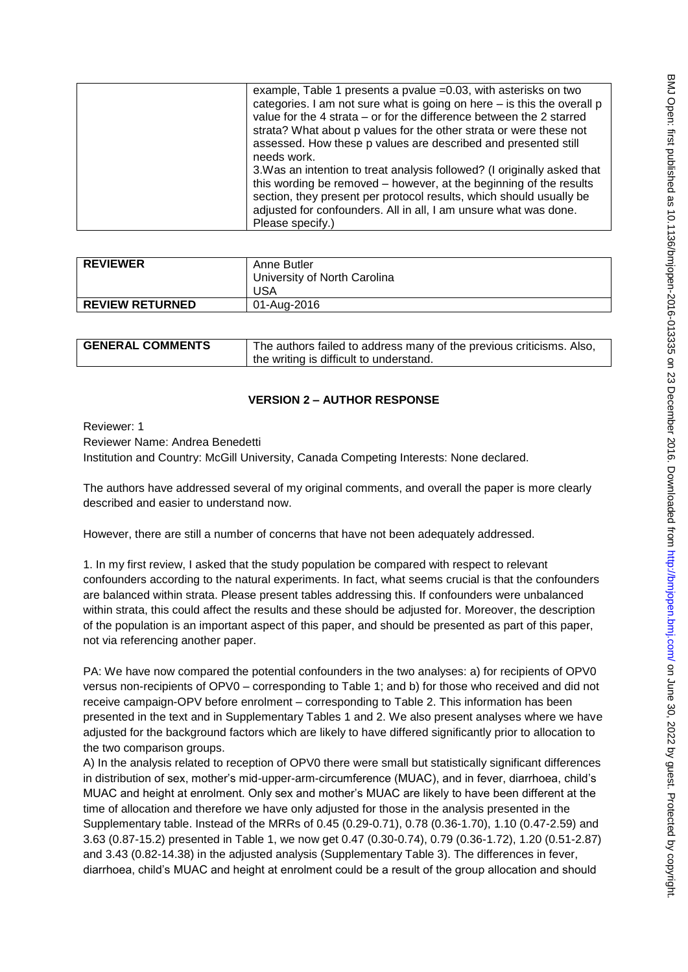| example, Table 1 presents a pvalue =0.03, with asterisks on two<br>categories. I am not sure what is going on here – is this the overall p<br>value for the 4 strata – or for the difference between the 2 starred<br>strata? What about p values for the other strata or were these not<br>assessed. How these p values are described and presented still |
|------------------------------------------------------------------------------------------------------------------------------------------------------------------------------------------------------------------------------------------------------------------------------------------------------------------------------------------------------------|
| needs work.<br>3. Was an intention to treat analysis followed? (I originally asked that<br>this wording be removed – however, at the beginning of the results<br>section, they present per protocol results, which should usually be<br>adjusted for confounders. All in all, I am unsure what was done.<br>Please specify.)                               |

| <b>REVIEWER</b>        | Anne Butler<br>University of North Carolina<br>USA |
|------------------------|----------------------------------------------------|
| <b>REVIEW RETURNED</b> | 01-Aug-2016                                        |

| <b>GENERAL COMMENTS</b> | The authors failed to address many of the previous criticisms. Also, |
|-------------------------|----------------------------------------------------------------------|
|                         | I the writing is difficult to understand.                            |

## **VERSION 2 – AUTHOR RESPONSE**

Reviewer: 1

Reviewer Name: Andrea Benedetti

Institution and Country: McGill University, Canada Competing Interests: None declared.

The authors have addressed several of my original comments, and overall the paper is more clearly described and easier to understand now.

However, there are still a number of concerns that have not been adequately addressed.

1. In my first review, I asked that the study population be compared with respect to relevant confounders according to the natural experiments. In fact, what seems crucial is that the confounders are balanced within strata. Please present tables addressing this. If confounders were unbalanced within strata, this could affect the results and these should be adjusted for. Moreover, the description of the population is an important aspect of this paper, and should be presented as part of this paper, not via referencing another paper.

PA: We have now compared the potential confounders in the two analyses: a) for recipients of OPV0 versus non-recipients of OPV0 – corresponding to Table 1; and b) for those who received and did not receive campaign-OPV before enrolment – corresponding to Table 2. This information has been presented in the text and in Supplementary Tables 1 and 2. We also present analyses where we have adjusted for the background factors which are likely to have differed significantly prior to allocation to the two comparison groups.

A) In the analysis related to reception of OPV0 there were small but statistically significant differences in distribution of sex, mother's mid-upper-arm-circumference (MUAC), and in fever, diarrhoea, child's MUAC and height at enrolment. Only sex and mother's MUAC are likely to have been different at the time of allocation and therefore we have only adjusted for those in the analysis presented in the Supplementary table. Instead of the MRRs of 0.45 (0.29-0.71), 0.78 (0.36-1.70), 1.10 (0.47-2.59) and 3.63 (0.87-15.2) presented in Table 1, we now get 0.47 (0.30-0.74), 0.79 (0.36-1.72), 1.20 (0.51-2.87) and 3.43 (0.82-14.38) in the adjusted analysis (Supplementary Table 3). The differences in fever, diarrhoea, child's MUAC and height at enrolment could be a result of the group allocation and should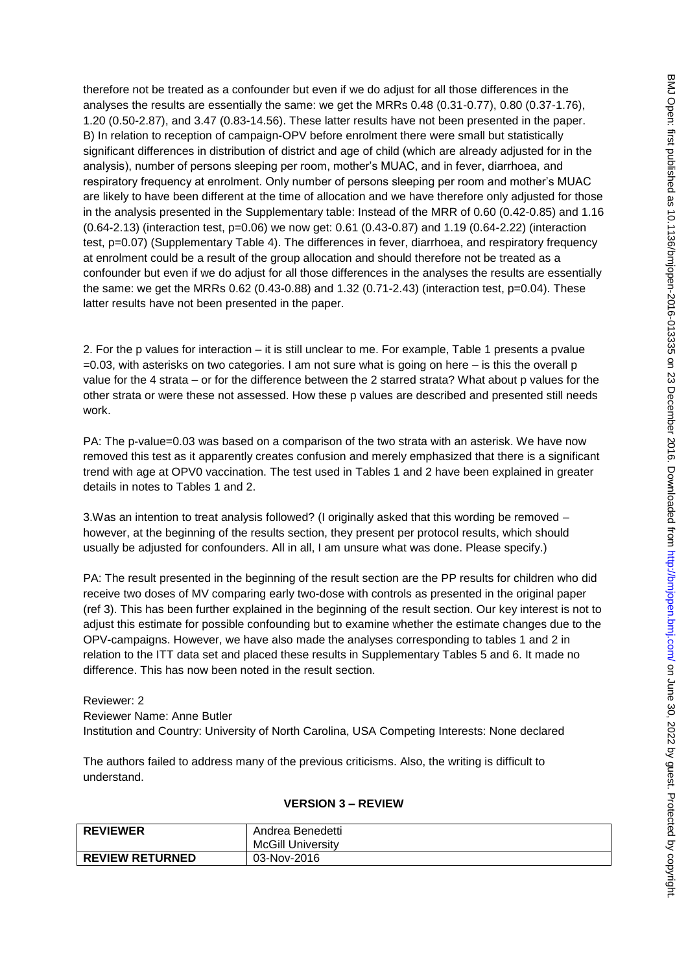therefore not be treated as a confounder but even if we do adjust for all those differences in the analyses the results are essentially the same: we get the MRRs 0.48 (0.31-0.77), 0.80 (0.37-1.76), 1.20 (0.50-2.87), and 3.47 (0.83-14.56). These latter results have not been presented in the paper. B) In relation to reception of campaign-OPV before enrolment there were small but statistically significant differences in distribution of district and age of child (which are already adjusted for in the analysis), number of persons sleeping per room, mother's MUAC, and in fever, diarrhoea, and respiratory frequency at enrolment. Only number of persons sleeping per room and mother's MUAC are likely to have been different at the time of allocation and we have therefore only adjusted for those in the analysis presented in the Supplementary table: Instead of the MRR of 0.60 (0.42-0.85) and 1.16 (0.64-2.13) (interaction test, p=0.06) we now get: 0.61 (0.43-0.87) and 1.19 (0.64-2.22) (interaction test, p=0.07) (Supplementary Table 4). The differences in fever, diarrhoea, and respiratory frequency at enrolment could be a result of the group allocation and should therefore not be treated as a confounder but even if we do adjust for all those differences in the analyses the results are essentially the same: we get the MRRs  $0.62$  ( $0.43$ - $0.88$ ) and  $1.32$  ( $0.71$ - $2.43$ ) (interaction test,  $p=0.04$ ). These latter results have not been presented in the paper.

2. For the p values for interaction – it is still unclear to me. For example, Table 1 presents a pvalue  $=0.03$ , with asterisks on two categories. I am not sure what is going on here  $-$  is this the overall p value for the 4 strata – or for the difference between the 2 starred strata? What about p values for the other strata or were these not assessed. How these p values are described and presented still needs work.

PA: The p-value=0.03 was based on a comparison of the two strata with an asterisk. We have now removed this test as it apparently creates confusion and merely emphasized that there is a significant trend with age at OPV0 vaccination. The test used in Tables 1 and 2 have been explained in greater details in notes to Tables 1 and 2.

3.Was an intention to treat analysis followed? (I originally asked that this wording be removed – however, at the beginning of the results section, they present per protocol results, which should usually be adjusted for confounders. All in all, I am unsure what was done. Please specify.)

PA: The result presented in the beginning of the result section are the PP results for children who did receive two doses of MV comparing early two-dose with controls as presented in the original paper (ref 3). This has been further explained in the beginning of the result section. Our key interest is not to adjust this estimate for possible confounding but to examine whether the estimate changes due to the OPV-campaigns. However, we have also made the analyses corresponding to tables 1 and 2 in relation to the ITT data set and placed these results in Supplementary Tables 5 and 6. It made no difference. This has now been noted in the result section.

Reviewer: 2 Reviewer Name: Anne Butler Institution and Country: University of North Carolina, USA Competing Interests: None declared

The authors failed to address many of the previous criticisms. Also, the writing is difficult to understand.

#### **VERSION 3 – REVIEW**

| <b>REVIEWER</b>        | Andrea Benedetti<br><b>McGill University</b> |
|------------------------|----------------------------------------------|
| <b>REVIEW RETURNED</b> | 03-Nov-2016                                  |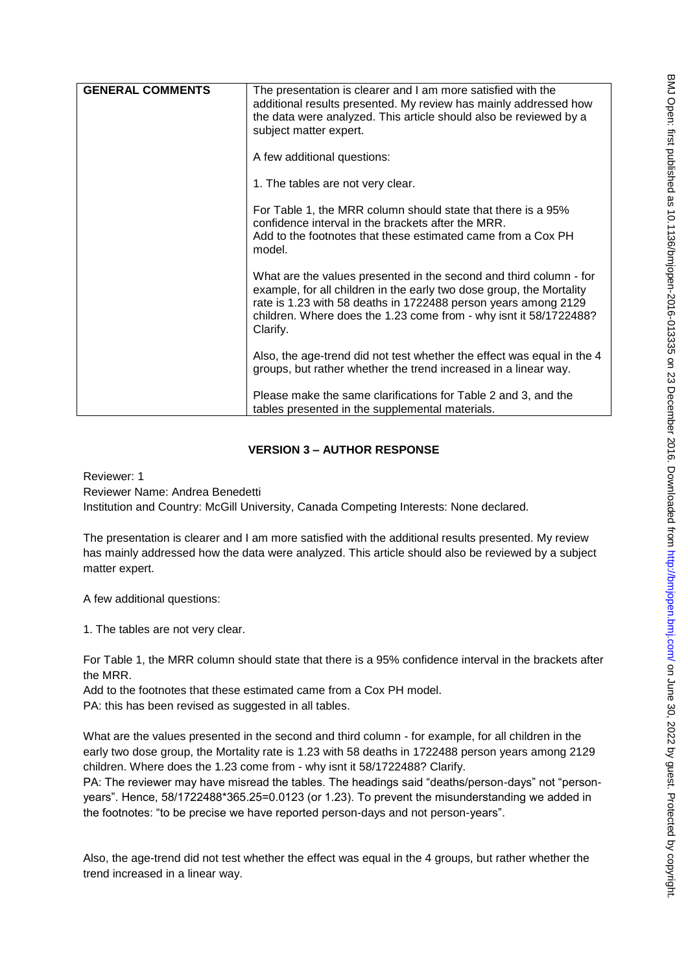| <b>GENERAL COMMENTS</b> | The presentation is clearer and I am more satisfied with the<br>additional results presented. My review has mainly addressed how<br>the data were analyzed. This article should also be reviewed by a<br>subject matter expert.                                                               |
|-------------------------|-----------------------------------------------------------------------------------------------------------------------------------------------------------------------------------------------------------------------------------------------------------------------------------------------|
|                         | A few additional questions:                                                                                                                                                                                                                                                                   |
|                         | 1. The tables are not very clear.                                                                                                                                                                                                                                                             |
|                         | For Table 1, the MRR column should state that there is a 95%<br>confidence interval in the brackets after the MRR.<br>Add to the footnotes that these estimated came from a Cox PH<br>model.                                                                                                  |
|                         | What are the values presented in the second and third column - for<br>example, for all children in the early two dose group, the Mortality<br>rate is 1.23 with 58 deaths in 1722488 person years among 2129<br>children. Where does the 1.23 come from - why isnt it 58/1722488?<br>Clarify. |
|                         | Also, the age-trend did not test whether the effect was equal in the 4<br>groups, but rather whether the trend increased in a linear way.                                                                                                                                                     |
|                         | Please make the same clarifications for Table 2 and 3, and the<br>tables presented in the supplemental materials.                                                                                                                                                                             |

# **VERSION 3 – AUTHOR RESPONSE**

Reviewer: 1 Reviewer Name: Andrea Benedetti Institution and Country: McGill University, Canada Competing Interests: None declared.

The presentation is clearer and I am more satisfied with the additional results presented. My review has mainly addressed how the data were analyzed. This article should also be reviewed by a subject matter expert.

A few additional questions:

1. The tables are not very clear.

For Table 1, the MRR column should state that there is a 95% confidence interval in the brackets after the MRR.

Add to the footnotes that these estimated came from a Cox PH model. PA: this has been revised as suggested in all tables.

What are the values presented in the second and third column - for example, for all children in the early two dose group, the Mortality rate is 1.23 with 58 deaths in 1722488 person years among 2129 children. Where does the 1.23 come from - why isnt it 58/1722488? Clarify.

PA: The reviewer may have misread the tables. The headings said "deaths/person-days" not "personyears". Hence, 58/1722488\*365.25=0.0123 (or 1.23). To prevent the misunderstanding we added in the footnotes: "to be precise we have reported person-days and not person-years".

Also, the age-trend did not test whether the effect was equal in the 4 groups, but rather whether the trend increased in a linear way.